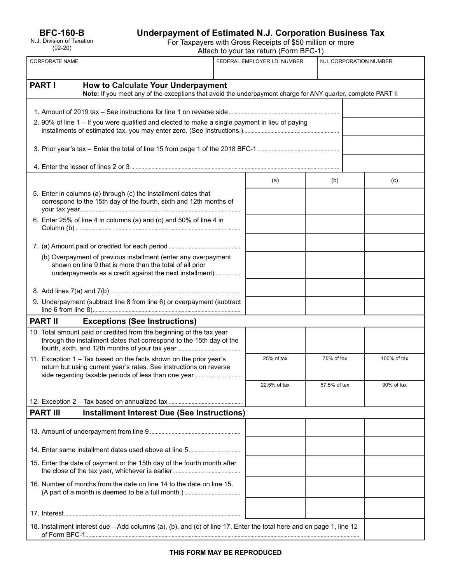# **Underpayment of Estimated N.J. Corporation Business Tax**

For Taxpayers with Gross Receipts of \$50 million or more

| Attach to your tax return (Form BFC-1) |  |
|----------------------------------------|--|
|----------------------------------------|--|

| <b>CORPORATE NAME</b>                                                                                                                                                                 | FEDERAL EMPLOYER I.D. NUMBER<br>N.J. CORPORATION NUMBER |              |              |             |  |
|---------------------------------------------------------------------------------------------------------------------------------------------------------------------------------------|---------------------------------------------------------|--------------|--------------|-------------|--|
| <b>PART I</b><br><b>How to Calculate Your Underpayment</b><br>Note: If you meet any of the exceptions that avoid the underpayment charge for ANY quarter, complete PART II            |                                                         |              |              |             |  |
|                                                                                                                                                                                       |                                                         |              |              |             |  |
| 2. 90% of line 1 - If you were qualified and elected to make a single payment in lieu of paying                                                                                       |                                                         |              |              |             |  |
|                                                                                                                                                                                       |                                                         |              |              |             |  |
|                                                                                                                                                                                       |                                                         |              |              |             |  |
|                                                                                                                                                                                       |                                                         |              |              |             |  |
|                                                                                                                                                                                       |                                                         | (a)          | (b)          | (c)         |  |
| 5. Enter in columns (a) through (c) the installment dates that<br>correspond to the 15th day of the fourth, sixth and 12th months of                                                  |                                                         |              |              |             |  |
| 6. Enter 25% of line 4 in columns (a) and (c) and 50% of line 4 in                                                                                                                    |                                                         |              |              |             |  |
|                                                                                                                                                                                       |                                                         |              |              |             |  |
| (b) Overpayment of previous installment (enter any overpayment<br>shown on line 9 that is more than the total of all prior<br>underpayments as a credit against the next installment) |                                                         |              |              |             |  |
|                                                                                                                                                                                       |                                                         |              |              |             |  |
| 9. Underpayment (subtract line 8 from line 6) or overpayment (subtract                                                                                                                |                                                         |              |              |             |  |
| <b>PART II</b><br><b>Exceptions (See Instructions)</b>                                                                                                                                |                                                         |              |              |             |  |
| 10. Total amount paid or credited from the beginning of the tax year<br>through the installment dates that correspond to the 15th day of the                                          |                                                         |              |              |             |  |
| 11. Exception 1 – Tax based on the facts shown on the prior year's<br>return but using current year's rates. See instructions on reverse                                              |                                                         | 25% of tax   | 75% of tax   | 100% of tax |  |
|                                                                                                                                                                                       |                                                         | 22.5% of tax | 67.5% of tax | 90% of tax  |  |
|                                                                                                                                                                                       |                                                         |              |              |             |  |
| <b>Installment Interest Due (See Instructions)</b><br><b>PART III</b>                                                                                                                 |                                                         |              |              |             |  |
|                                                                                                                                                                                       |                                                         |              |              |             |  |
|                                                                                                                                                                                       |                                                         |              |              |             |  |
| 15. Enter the date of payment or the 15th day of the fourth month after                                                                                                               |                                                         |              |              |             |  |
| 16. Number of months from the date on line 14 to the date on line 15.                                                                                                                 |                                                         |              |              |             |  |
|                                                                                                                                                                                       |                                                         |              |              |             |  |
| 18. Installment interest due - Add columns (a), (b), and (c) of line 17. Enter the total here and on page 1, line 12                                                                  |                                                         |              |              |             |  |